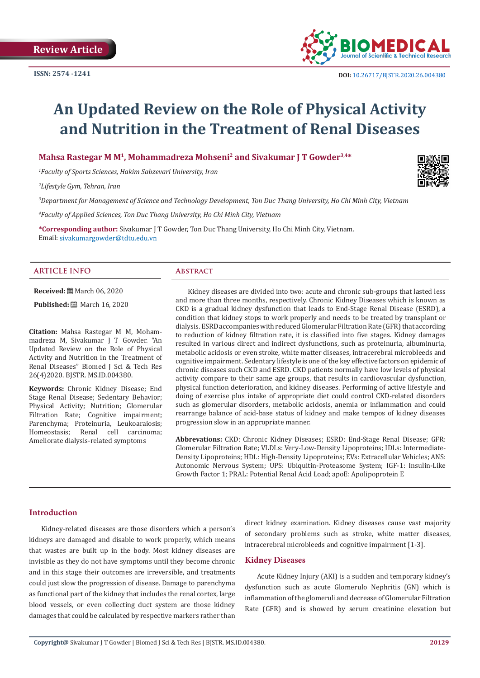

# **An Updated Review on the Role of Physical Activity and Nutrition in the Treatment of Renal Diseases**

# **Mahsa Rastegar M M1, Mohammadreza Mohseni2 and Sivakumar J T Gowder3,4\***

*1 Faculty of Sports Sciences, Hakim Sabzevari University, Iran*

*2 Lifestyle Gym, Tehran, Iran*

*3 Department for Management of Science and Technology Development, Ton Duc Thang University, Ho Chi Minh City, Vietnam*

*4 Faculty of Applied Sciences, Ton Duc Thang University, Ho Chi Minh City, Vietnam*

**\*Corresponding author:** Sivakumar J T Gowder, Ton Duc Thang University, Ho Chi Minh City, Vietnam. Email: sivakumargowder@tdtu.edu.vn

#### **ARTICLE INFO Abstract**

**Received:** ■ March 06, 2020

**Published:** ■ March 16, 2020

**Citation:** Mahsa Rastegar M M, Mohammadreza M, Sivakumar J T Gowder. "An Updated Review on the Role of Physical Activity and Nutrition in the Treatment of Renal Diseases" Biomed J Sci & Tech Res 26(4)2020. BJSTR. MS.ID.004380.

**Keywords:** Chronic Kidney Disease; End Stage Renal Disease; Sedentary Behavior; Physical Activity; Nutrition; Glomerular Filtration Rate; Cognitive impairment; Parenchyma; Proteinuria, Leukoaraiosis;<br>Homeostasis: Renal cell carcinoma: Homeostasis; Renal Ameliorate dialysis-related symptoms

Kidney diseases are divided into two: acute and chronic sub-groups that lasted less and more than three months, respectively. Chronic Kidney Diseases which is known as CKD is a gradual kidney dysfunction that leads to End-Stage Renal Disease (ESRD), a condition that kidney stops to work properly and needs to be treated by transplant or dialysis. ESRD accompanies with reduced Glomerular Filtration Rate (GFR) that according to reduction of kidney filtration rate, it is classified into five stages. Kidney damages resulted in various direct and indirect dysfunctions, such as proteinuria, albuminuria, metabolic acidosis or even stroke, white matter diseases, intracerebral microbleeds and cognitive impairment. Sedentary lifestyle is one of the key effective factors on epidemic of chronic diseases such CKD and ESRD. CKD patients normally have low levels of physical activity compare to their same age groups, that results in cardiovascular dysfunction, physical function deterioration, and kidney diseases. Performing of active lifestyle and doing of exercise plus intake of appropriate diet could control CKD-related disorders such as glomerular disorders, metabolic acidosis, anemia or inflammation and could rearrange balance of acid-base status of kidney and make tempos of kidney diseases progression slow in an appropriate manner.

**Abbrevations:** CKD: Chronic Kidney Diseases; ESRD: End-Stage Renal Disease; GFR: Glomerular Filtration Rate; VLDLs: Very-Low-Density Lipoproteins; IDLs: Intermediate-Density Lipoproteins; HDL: High-Density Lipoproteins; EVs: Extracellular Vehicles; ANS: Autonomic Nervous System; UPS: Ubiquitin-Proteasome System; IGF-1: Insulin-Like Growth Factor 1; PRAL: Potential Renal Acid Load; apoE: Apolipoprotein E

#### **Introduction**

Kidney-related diseases are those disorders which a person's kidneys are damaged and disable to work properly, which means that wastes are built up in the body. Most kidney diseases are invisible as they do not have symptoms until they become chronic and in this stage their outcomes are irreversible, and treatments could just slow the progression of disease. Damage to parenchyma as functional part of the kidney that includes the renal cortex, large blood vessels, or even collecting duct system are those kidney damages that could be calculated by respective markers rather than direct kidney examination. Kidney diseases cause vast majority of secondary problems such as stroke, white matter diseases, intracerebral microbleeds and cognitive impairment [1-3].

#### **Kidney Diseases**

Acute Kidney Injury (AKI) is a sudden and temporary kidney's dysfunction such as acute Glomerulo Nephritis (GN) which is inflammation of the glomeruli and decrease of Glomerular Filtration Rate (GFR) and is showed by serum creatinine elevation but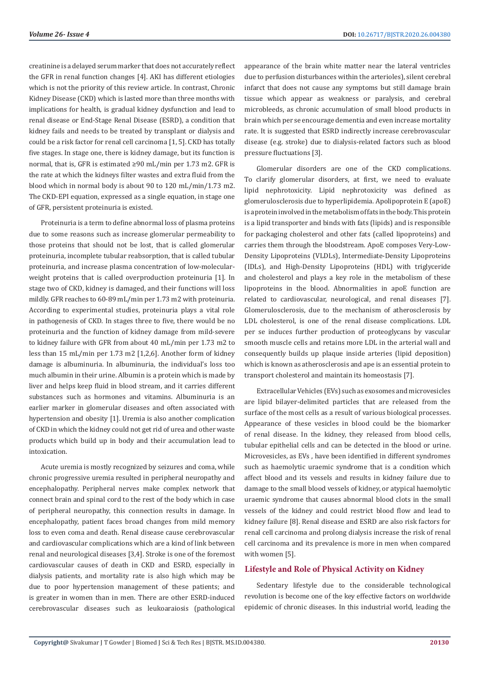creatinine is a delayed serum marker that does not accurately reflect the GFR in renal function changes [4]. AKI has different etiologies which is not the priority of this review article. In contrast, Chronic Kidney Disease (CKD) which is lasted more than three months with implications for health, is gradual kidney dysfunction and lead to renal disease or End-Stage Renal Disease (ESRD), a condition that kidney fails and needs to be treated by transplant or dialysis and could be a risk factor for renal cell carcinoma [1, 5]. CKD has totally five stages. In stage one, there is kidney damage, but its function is normal, that is, GFR is estimated ≥90 mL/min per 1.73 m2. GFR is the rate at which the kidneys filter wastes and extra fluid from the blood which in normal body is about 90 to 120 mL/min/1.73 m2. The CKD-EPI equation, expressed as a single equation, in stage one of GFR, persistent proteinuria is existed.

Proteinuria is a term to define abnormal loss of plasma proteins due to some reasons such as increase glomerular permeability to those proteins that should not be lost, that is called glomerular proteinuria, incomplete tubular reabsorption, that is called tubular proteinuria, and increase plasma concentration of low-molecularweight proteins that is called overproduction proteinuria [1]. In stage two of CKD, kidney is damaged, and their functions will loss mildly. GFR reaches to 60-89 mL/min per 1.73 m2 with proteinuria. According to experimental studies, proteinuria plays a vital role in pathogenesis of CKD. In stages three to five, there would be no proteinuria and the function of kidney damage from mild-severe to kidney failure with GFR from about 40 mL/min per 1.73 m2 to less than 15 mL/min per 1.73 m2 [1,2,6]. Another form of kidney damage is albuminuria. In albuminuria, the individual's loss too much albumin in their urine. Albumin is a protein which is made by liver and helps keep fluid in blood stream, and it carries different substances such as hormones and vitamins. Albuminuria is an earlier marker in glomerular diseases and often associated with hypertension and obesity [1]. Uremia is also another complication of CKD in which the kidney could not get rid of urea and other waste products which build up in body and their accumulation lead to intoxication.

Acute uremia is mostly recognized by seizures and coma, while chronic progressive uremia resulted in peripheral neuropathy and encephalopathy. Peripheral nerves make complex network that connect brain and spinal cord to the rest of the body which in case of peripheral neuropathy, this connection results in damage. In encephalopathy, patient faces broad changes from mild memory loss to even coma and death. Renal disease cause cerebrovascular and cardiovascular complications which are a kind of link between renal and neurological diseases [3,4]. Stroke is one of the foremost cardiovascular causes of death in CKD and ESRD, especially in dialysis patients, and mortality rate is also high which may be due to poor hypertension management of these patients; and is greater in women than in men. There are other ESRD-induced cerebrovascular diseases such as leukoaraiosis (pathological

appearance of the brain white matter near the lateral ventricles due to perfusion disturbances within the arterioles), silent cerebral infarct that does not cause any symptoms but still damage brain tissue which appear as weakness or paralysis, and cerebral microbleeds, as chronic accumulation of small blood products in brain which per se encourage dementia and even increase mortality rate. It is suggested that ESRD indirectly increase cerebrovascular disease (e.g. stroke) due to dialysis-related factors such as blood pressure fluctuations [3].

Glomerular disorders are one of the CKD complications. To clarify glomerular disorders, at first, we need to evaluate lipid nephrotoxicity. Lipid nephrotoxicity was defined as glomerulosclerosis due to hyperlipidemia. Apolipoprotein E (apoE) is a protein involved in the metabolism of fats in the body. This protein is a lipid transporter and binds with fats (lipids) and is responsible for packaging cholesterol and other fats (called lipoproteins) and carries them through the bloodstream. ApoE composes Very-Low-Density Lipoproteins (VLDLs), Intermediate-Density Lipoproteins (IDLs), and High-Density Lipoproteins (HDL) with triglyceride and cholesterol and plays a key role in the metabolism of these lipoproteins in the blood. Abnormalities in apoE function are related to cardiovascular, neurological, and renal diseases [7]. Glomerulosclerosis, due to the mechanism of atherosclerosis by LDL cholesterol, is one of the renal disease complications. LDL per se induces further production of proteoglycans by vascular smooth muscle cells and retains more LDL in the arterial wall and consequently builds up plaque inside arteries (lipid deposition) which is known as atherosclerosis and ape is an essential protein to transport cholesterol and maintain its homeostasis [7].

Extracellular Vehicles (EVs) such as exosomes and microvesicles are lipid bilayer-delimited particles that are released from the surface of the most cells as a result of various biological processes. Appearance of these vesicles in blood could be the biomarker of renal disease. In the kidney, they released from blood cells, tubular epithelial cells and can be detected in the blood or urine. Microvesicles, as EVs , have been identified in different syndromes such as haemolytic uraemic syndrome that is a condition which affect blood and its vessels and results in kidney failure due to damage to the small blood vessels of kidney, or atypical haemolytic uraemic syndrome that causes abnormal blood clots in the small vessels of the kidney and could restrict blood flow and lead to kidney failure [8]. Renal disease and ESRD are also risk factors for renal cell carcinoma and prolong dialysis increase the risk of renal cell carcinoma and its prevalence is more in men when compared with women [5].

# **Lifestyle and Role of Physical Activity on Kidney**

Sedentary lifestyle due to the considerable technological revolution is become one of the key effective factors on worldwide epidemic of chronic diseases. In this industrial world, leading the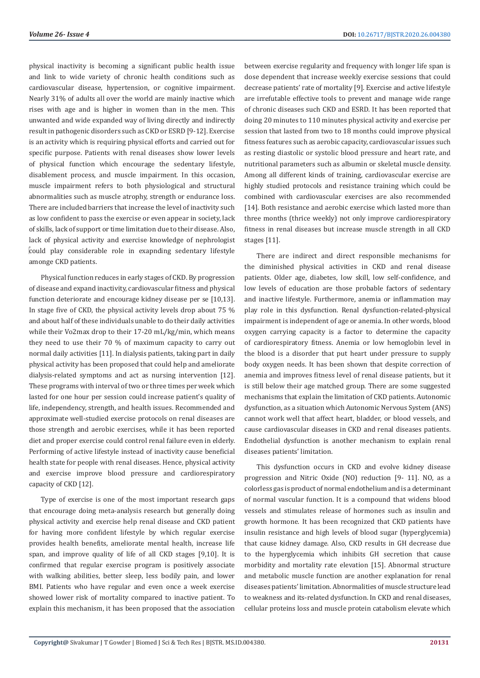physical inactivity is becoming a significant public health issue and link to wide variety of chronic health conditions such as cardiovascular disease, hypertension, or cognitive impairment. Nearly 31% of adults all over the world are mainly inactive which rises with age and is higher in women than in the men. This unwanted and wide expanded way of living directly and indirectly result in pathogenic disorders such as CKD or ESRD [9-12]. Exercise is an activity which is requiring physical efforts and carried out for specific purpose. Patients with renal diseases show lower levels of physical function which encourage the sedentary lifestyle, disablement process, and muscle impairment. In this occasion, muscle impairment refers to both physiological and structural abnormalities such as muscle atrophy, strength or endurance loss. There are included barriers that increase the level of inactivity such as low confident to pass the exercise or even appear in society, lack of skills, lack of support or time limitation due to their disease. Also, lack of physical activity and exercise knowledge of nephrologist could play considerable role in exapnding sedentary lifestyle amonge CKD patients.

Physical function reduces in early stages of CKD. By progression of disease and expand inactivity, cardiovascular fitness and physical function deteriorate and encourage kidney disease per se [10,13]. In stage five of CKD, the physical activity levels drop about 75 % and about half of these individuals unable to do their daily activities while their Vo2max drop to their 17-20 mL/kg/min, which means they need to use their 70 % of maximum capacity to carry out normal daily activities [11]. In dialysis patients, taking part in daily physical activity has been proposed that could help and ameliorate dialysis-related symptoms and act as nursing intervention [12]. These programs with interval of two or three times per week which lasted for one hour per session could increase patient's quality of life, independency, strength, and health issues. Recommended and approximate well-studied exercise protocols on renal diseases are those strength and aerobic exercises, while it has been reported diet and proper exercise could control renal failure even in elderly. Performing of active lifestyle instead of inactivity cause beneficial health state for people with renal diseases. Hence, physical activity and exercise improve blood pressure and cardiorespiratory capacity of CKD [12].

Type of exercise is one of the most important research gaps that encourage doing meta-analysis research but generally doing physical activity and exercise help renal disease and CKD patient for having more confident lifestyle by which regular exercise provides health benefits, ameliorate mental health, increase life span, and improve quality of life of all CKD stages [9,10]. It is confirmed that regular exercise program is positively associate with walking abilities, better sleep, less bodily pain, and lower BMI. Patients who have regular and even once a week exercise showed lower risk of mortality compared to inactive patient. To explain this mechanism, it has been proposed that the association

between exercise regularity and frequency with longer life span is dose dependent that increase weekly exercise sessions that could decrease patients' rate of mortality [9]. Exercise and active lifestyle are irrefutable effective tools to prevent and manage wide range of chronic diseases such CKD and ESRD. It has been reported that doing 20 minutes to 110 minutes physical activity and exercise per session that lasted from two to 18 months could improve physical fitness features such as aerobic capacity, cardiovascular issues such as resting diastolic or systolic blood pressure and heart rate, and nutritional parameters such as albumin or skeletal muscle density. Among all different kinds of training, cardiovascular exercise are highly studied protocols and resistance training which could be combined with cardiovascular exercises are also recommended [14]. Both resistance and aerobic exercise which lasted more than three months (thrice weekly) not only improve cardiorespiratory fitness in renal diseases but increase muscle strength in all CKD stages [11].

There are indirect and direct responsible mechanisms for the diminished physical activities in CKD and renal disease patients. Older age, diabetes, low skill, low self-confidence, and low levels of education are those probable factors of sedentary and inactive lifestyle. Furthermore, anemia or inflammation may play role in this dysfunction. Renal dysfunction-related-physical impairment is independent of age or anemia. In other words, blood oxygen carrying capacity is a factor to determine the capacity of cardiorespiratory fitness. Anemia or low hemoglobin level in the blood is a disorder that put heart under pressure to supply body oxygen needs. It has been shown that despite correction of anemia and improves fitness level of renal disease patients, but it is still below their age matched group. There are some suggested mechanisms that explain the limitation of CKD patients. Autonomic dysfunction, as a situation which Autonomic Nervous System (ANS) cannot work well that affect heart, bladder, or blood vessels, and cause cardiovascular diseases in CKD and renal diseases patients. Endothelial dysfunction is another mechanism to explain renal diseases patients' limitation.

This dysfunction occurs in CKD and evolve kidney disease progression and Nitric Oxide (NO) reduction [9- 11]. NO, as a colorless gas is product of normal endothelium and is a determinant of normal vascular function. It is a compound that widens blood vessels and stimulates release of hormones such as insulin and growth hormone. It has been recognized that CKD patients have insulin resistance and high levels of blood sugar (hyperglycemia) that cause kidney damage. Also, CKD results in GH decrease due to the hyperglycemia which inhibits GH secretion that cause morbidity and mortality rate elevation [15]. Abnormal structure and metabolic muscle function are another explanation for renal diseases patients' limitation. Abnormalities of muscle structure lead to weakness and its-related dysfunction. In CKD and renal diseases, cellular proteins loss and muscle protein catabolism elevate which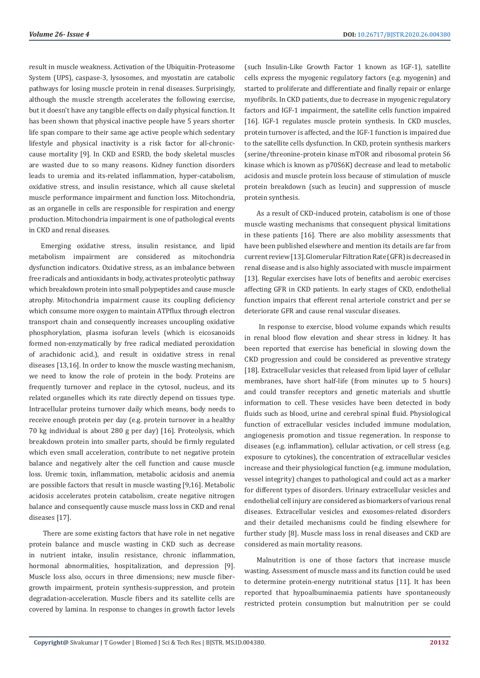result in muscle weakness. Activation of the Ubiquitin-Proteasome System (UPS), caspase-3, lysosomes, and myostatin are catabolic pathways for losing muscle protein in renal diseases. Surprisingly, although the muscle strength accelerates the following exercise, but it doesn't have any tangible effects on daily physical function. It has been shown that physical inactive people have 5 years shorter life span compare to their same age active people which sedentary lifestyle and physical inactivity is a risk factor for all-chroniccause mortality [9]. In CKD and ESRD, the body skeletal muscles are wasted due to so many reasons. Kidney function disorders leads to uremia and its-related inflammation, hyper-catabolism, oxidative stress, and insulin resistance, which all cause skeletal muscle performance impairment and function loss. Mitochondria, as an organelle in cells are responsible for respiration and energy production. Mitochondria impairment is one of pathological events in CKD and renal diseases.

Emerging oxidative stress, insulin resistance, and lipid metabolism impairment are considered as mitochondria dysfunction indicators. Oxidative stress, as an imbalance between free radicals and antioxidants in body, activates proteolytic pathway which breakdown protein into small polypeptides and cause muscle atrophy. Mitochondria impairment cause its coupling deficiency which consume more oxygen to maintain ATPflux through electron transport chain and consequently increases uncoupling oxidative phosphorylation, plasma isofuran levels (which is eicosanoids formed non-enzymatically by free radical mediated peroxidation of arachidonic acid.), and result in oxidative stress in renal diseases [13,16]. In order to know the muscle wasting mechanism, we need to know the role of protein in the body. Proteins are frequently turnover and replace in the cytosol, nucleus, and its related organelles which its rate directly depend on tissues type. Intracellular proteins turnover daily which means, body needs to receive enough protein per day (e.g. protein turnover in a healthy 70 kg individual is about 280 g per day) [16]. Proteolysis, which breakdown protein into smaller parts, should be firmly regulated which even small acceleration, contribute to net negative protein balance and negatively alter the cell function and cause muscle loss. Uremic toxin, inflammation, metabolic acidosis and anemia are possible factors that result in muscle wasting [9,16]. Metabolic acidosis accelerates protein catabolism, create negative nitrogen balance and consequently cause muscle mass loss in CKD and renal diseases [17].

 There are some existing factors that have role in net negative protein balance and muscle wasting in CKD such as decrease in nutrient intake, insulin resistance, chronic inflammation, hormonal abnormalities, hospitalization, and depression [9]. Muscle loss also, occurs in three dimensions; new muscle fibergrowth impairment, protein synthesis-suppression, and protein degradation-acceleration. Muscle fibers and its satellite cells are covered by lamina. In response to changes in growth factor levels

(such Insulin-Like Growth Factor 1 known as IGF-1), satellite cells express the myogenic regulatory factors (e.g. myogenin) and started to proliferate and differentiate and finally repair or enlarge myofibrils. In CKD patients, due to decrease in myogenic regulatory factors and IGF-1 impairment, the satellite cells function impaired [16]. IGF-1 regulates muscle protein synthesis. In CKD muscles, protein turnover is affected, and the IGF-1 function is impaired due to the satellite cells dysfunction. In CKD, protein synthesis markers (serine/threonine-protein kinase mTOR and ribosomal protein S6 kinase which is known as p70S6K) decrease and lead to metabolic acidosis and muscle protein loss because of stimulation of muscle protein breakdown (such as leucin) and suppression of muscle protein synthesis.

As a result of CKD-induced protein, catabolism is one of those muscle wasting mechanisms that consequent physical limitations in these patients [16]. There are also mobility assessments that have been published elsewhere and mention its details are far from current review [13]. Glomerular Filtration Rate (GFR) is decreased in renal disease and is also highly associated with muscle impairment [13]. Regular exercises have lots of benefits and aerobic exercises affecting GFR in CKD patients. In early stages of CKD, endothelial function impairs that efferent renal arteriole constrict and per se deteriorate GFR and cause renal vascular diseases.

 In response to exercise, blood volume expands which results in renal blood flow elevation and shear stress in kidney. It has been reported that exercise has beneficial in slowing down the CKD progression and could be considered as preventive strategy [18]. Extracellular vesicles that released from lipid layer of cellular membranes, have short half-life (from minutes up to 5 hours) and could transfer receptors and genetic materials and shuttle information to cell. These vesicles have been detected in body fluids such as blood, urine and cerebral spinal fluid. Physiological function of extracellular vesicles included immune modulation, angiogenesis promotion and tissue regeneration. In response to diseases (e.g. inflammation), cellular activation, or cell stress (e.g. exposure to cytokines), the concentration of extracellular vesicles increase and their physiological function (e.g. immune modulation, vessel integrity) changes to pathological and could act as a marker for different types of disorders. Urinary extracellular vesicles and endothelial cell injury are considered as biomarkers of various renal diseases. Extracellular vesicles and exosomes-related disorders and their detailed mechanisms could be finding elsewhere for further study [8]. Muscle mass loss in renal diseases and CKD are considered as main mortality reasons.

Malnutrition is one of those factors that increase muscle wasting. Assessment of muscle mass and its function could be used to determine protein-energy nutritional status [11]. It has been reported that hypoalbuminaemia patients have spontaneously restricted protein consumption but malnutrition per se could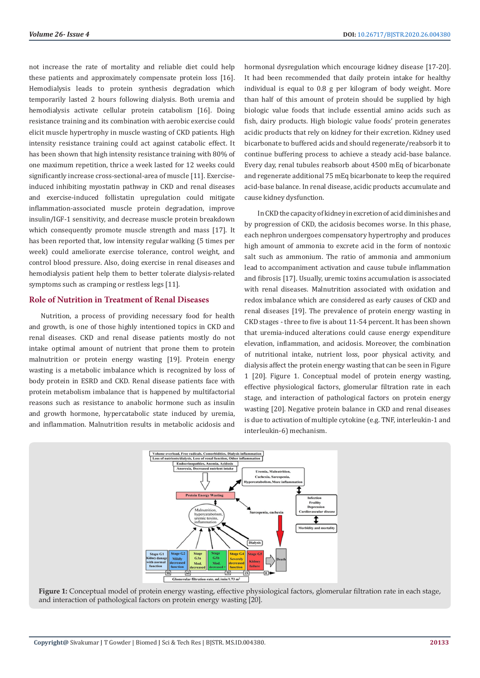not increase the rate of mortality and reliable diet could help these patients and approximately compensate protein loss [16]. Hemodialysis leads to protein synthesis degradation which temporarily lasted 2 hours following dialysis. Both uremia and hemodialysis activate cellular protein catabolism [16]. Doing resistance training and its combination with aerobic exercise could elicit muscle hypertrophy in muscle wasting of CKD patients. High intensity resistance training could act against catabolic effect. It has been shown that high intensity resistance training with 80% of one maximum repetition, thrice a week lasted for 12 weeks could significantly increase cross-sectional-area of muscle [11]. Exerciseinduced inhibiting myostatin pathway in CKD and renal diseases and exercise-induced follistatin upregulation could mitigate inflammation-associated muscle protein degradation, improve insulin/IGF-1 sensitivity, and decrease muscle protein breakdown which consequently promote muscle strength and mass [17]. It has been reported that, low intensity regular walking (5 times per week) could ameliorate exercise tolerance, control weight, and control blood pressure. Also, doing exercise in renal diseases and hemodialysis patient help them to better tolerate dialysis-related symptoms such as cramping or restless legs [11].

#### **Role of Nutrition in Treatment of Renal Diseases**

Nutrition, a process of providing necessary food for health and growth, is one of those highly intentioned topics in CKD and renal diseases. CKD and renal disease patients mostly do not intake optimal amount of nutrient that prone them to protein malnutrition or protein energy wasting [19]. Protein energy wasting is a metabolic imbalance which is recognized by loss of body protein in ESRD and CKD. Renal disease patients face with protein metabolism imbalance that is happened by multifactorial reasons such as resistance to anabolic hormone such as insulin and growth hormone, hypercatabolic state induced by uremia, and inflammation. Malnutrition results in metabolic acidosis and

hormonal dysregulation which encourage kidney disease [17-20]. It had been recommended that daily protein intake for healthy individual is equal to 0.8 g per kilogram of body weight. More than half of this amount of protein should be supplied by high biologic value foods that include essential amino acids such as fish, dairy products. High biologic value foods' protein generates acidic products that rely on kidney for their excretion. Kidney used bicarbonate to buffered acids and should regenerate/reabsorb it to continue buffering process to achieve a steady acid-base balance. Every day, renal tubules reabsorb about 4500 mEq of bicarbonate and regenerate additional 75 mEq bicarbonate to keep the required acid-base balance. In renal disease, acidic products accumulate and cause kidney dysfunction.

 In CKD the capacity of kidney in excretion of acid diminishes and by progression of CKD, the acidosis becomes worse. In this phase, each nephron undergoes compensatory hypertrophy and produces high amount of ammonia to excrete acid in the form of nontoxic salt such as ammonium. The ratio of ammonia and ammonium lead to accompaniment activation and cause tubule inflammation and fibrosis [17]. Usually, uremic toxins accumulation is associated with renal diseases. Malnutrition associated with oxidation and redox imbalance which are considered as early causes of CKD and renal diseases [19]. The prevalence of protein energy wasting in CKD stages - three to five is about 11-54 percent. It has been shown that uremia-induced alterations could cause energy expenditure elevation, inflammation, and acidosis. Moreover, the combination of nutritional intake, nutrient loss, poor physical activity, and dialysis affect the protein energy wasting that can be seen in Figure 1 [20]. Figure 1. Conceptual model of protein energy wasting, effective physiological factors, glomerular filtration rate in each stage, and interaction of pathological factors on protein energy wasting [20]. Negative protein balance in CKD and renal diseases is due to activation of multiple cytokine (e.g. TNF, interleukin-1 and interleukin-6) mechanism.



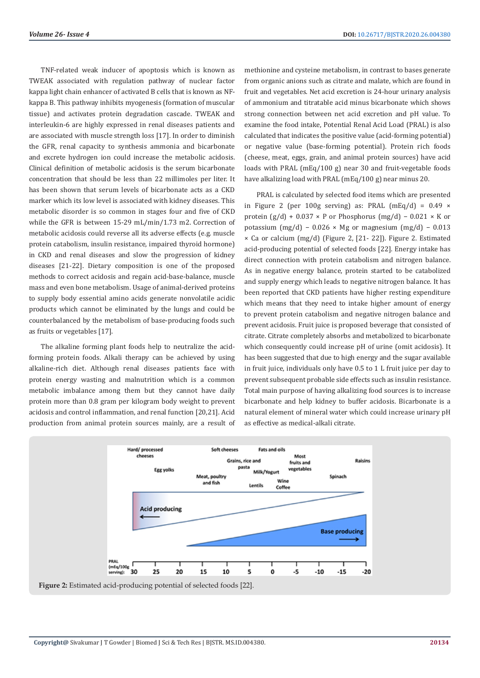TNF-related weak inducer of apoptosis which is known as TWEAK associated with regulation pathway of nuclear factor kappa light chain enhancer of activated B cells that is known as NFkappa B. This pathway inhibits myogenesis (formation of muscular tissue) and activates protein degradation cascade. TWEAK and interleukin-6 are highly expressed in renal diseases patients and are associated with muscle strength loss [17]. In order to diminish the GFR, renal capacity to synthesis ammonia and bicarbonate and excrete hydrogen ion could increase the metabolic acidosis. Clinical definition of metabolic acidosis is the serum bicarbonate concentration that should be less than 22 millimoles per liter. It has been shown that serum levels of bicarbonate acts as a CKD marker which its low level is associated with kidney diseases. This metabolic disorder is so common in stages four and five of CKD while the GFR is between 15-29 mL/min/1.73 m2. Correction of metabolic acidosis could reverse all its adverse effects (e.g. muscle protein catabolism, insulin resistance, impaired thyroid hormone) in CKD and renal diseases and slow the progression of kidney diseases [21-22]. Dietary composition is one of the proposed methods to correct acidosis and regain acid-base-balance, muscle mass and even bone metabolism. Usage of animal-derived proteins to supply body essential amino acids generate nonvolatile acidic products which cannot be eliminated by the lungs and could be counterbalanced by the metabolism of base-producing foods such as fruits or vegetables [17].

The alkaline forming plant foods help to neutralize the acidforming protein foods. Alkali therapy can be achieved by using alkaline-rich diet. Although renal diseases patients face with protein energy wasting and malnutrition which is a common metabolic imbalance among them but they cannot have daily protein more than 0.8 gram per kilogram body weight to prevent acidosis and control inflammation, and renal function [20,21]. Acid production from animal protein sources mainly, are a result of methionine and cysteine metabolism, in contrast to bases generate from organic anions such as citrate and malate, which are found in fruit and vegetables. Net acid excretion is 24-hour urinary analysis of ammonium and titratable acid minus bicarbonate which shows strong connection between net acid excretion and pH value. To examine the food intake, Potential Renal Acid Load (PRAL) is also calculated that indicates the positive value (acid-forming potential) or negative value (base-forming potential). Protein rich foods (cheese, meat, eggs, grain, and animal protein sources) have acid loads with PRAL (mEq/100 g) near 30 and fruit-vegetable foods have alkalizing load with PRAL (mEq/100 g) near minus 20.

PRAL is calculated by selected food items which are presented in Figure 2 (per 100g serving) as: PRAL  $(mEq/d) = 0.49 \times$ protein  $(g/d)$  + 0.037 × P or Phosphorus (mg/d) – 0.021 × K or potassium (mg/d) – 0.026 × Mg or magnesium (mg/d) – 0.013 × Ca or calcium (mg/d) (Figure 2, [21- 22]). Figure 2. Estimated acid-producing potential of selected foods [22]. Energy intake has direct connection with protein catabolism and nitrogen balance. As in negative energy balance, protein started to be catabolized and supply energy which leads to negative nitrogen balance. It has been reported that CKD patients have higher resting expenditure which means that they need to intake higher amount of energy to prevent protein catabolism and negative nitrogen balance and prevent acidosis. Fruit juice is proposed beverage that consisted of citrate. Citrate completely absorbs and metabolized to bicarbonate which consequently could increase pH of urine (omit acidosis). It has been suggested that due to high energy and the sugar available in fruit juice, individuals only have 0.5 to 1 L fruit juice per day to prevent subsequent probable side effects such as insulin resistance. Total main purpose of having alkalizing food sources is to increase bicarbonate and help kidney to buffer acidosis. Bicarbonate is a natural element of mineral water which could increase urinary pH as effective as medical-alkali citrate.

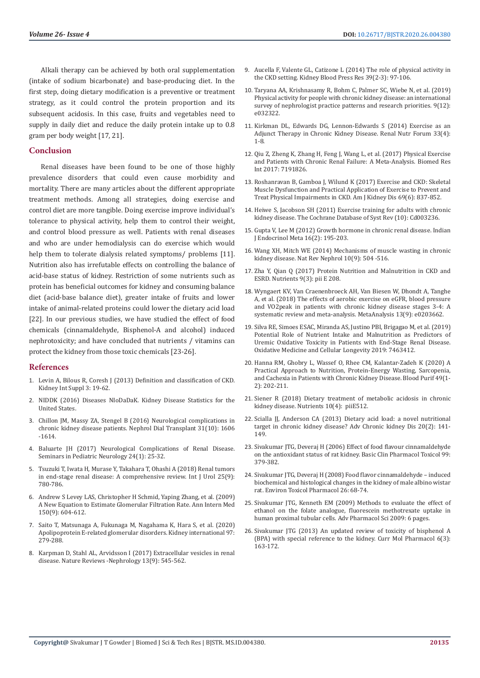Alkali therapy can be achieved by both oral supplementation (intake of sodium bicarbonate) and base-producing diet. In the first step, doing dietary modification is a preventive or treatment strategy, as it could control the protein proportion and its subsequent acidosis. In this case, fruits and vegetables need to supply in daily diet and reduce the daily protein intake up to 0.8 gram per body weight [17, 21].

#### **Conclusion**

Renal diseases have been found to be one of those highly prevalence disorders that could even cause morbidity and mortality. There are many articles about the different appropriate treatment methods. Among all strategies, doing exercise and control diet are more tangible. Doing exercise improve individual's tolerance to physical activity, help them to control their weight, and control blood pressure as well. Patients with renal diseases and who are under hemodialysis can do exercise which would help them to tolerate dialysis related symptoms/ problems [11]. Nutrition also has irrefutable effects on controlling the balance of acid-base status of kidney. Restriction of some nutrients such as protein has beneficial outcomes for kidney and consuming balance diet (acid-base balance diet), greater intake of fruits and lower intake of animal-related proteins could lower the dietary acid load [22]. In our previous studies, we have studied the effect of food chemicals (cinnamaldehyde, Bisphenol-A and alcohol) induced nephrotoxicity; and have concluded that nutrients / vitamins can protect the kidney from those toxic chemicals [23-26].

#### **References**

- 1. [Levin A, Bilous R, Coresh J \(2013\) Definition and classification of CKD.](https://www.ncbi.nlm.nih.gov/pmc/articles/PMC4089693/)  [Kidney Int Suppl 3: 19-62.](https://www.ncbi.nlm.nih.gov/pmc/articles/PMC4089693/)
- 2. [NIDDK \(2016\) Diseases NIoDaDaK. Kidney Disease Statistics for the](https://www.niddk.nih.gov/health-information/health-statistics/kidney-disease)  [United States.](https://www.niddk.nih.gov/health-information/health-statistics/kidney-disease)
- 3. [Chillon JM, Massy ZA, Stengel B \(2016\) Neurological complications in](https://www.ncbi.nlm.nih.gov/pubmed/26359201)  [chronic kidney disease patients. Nephrol Dial Transplant 31\(10\): 1606](https://www.ncbi.nlm.nih.gov/pubmed/26359201)  [-1614.](https://www.ncbi.nlm.nih.gov/pubmed/26359201)
- 4. [Baluarte JH \(2017\) Neurological Complications of Renal Disease.](https://www.ncbi.nlm.nih.gov/pubmed/28779862)  [Seminars in Pediatric Neurology 24\(1\): 25-32.](https://www.ncbi.nlm.nih.gov/pubmed/28779862)
- 5. [Tsuzuki T, Iwata H, Murase Y, Takahara T, Ohashi A \(2018\) Renal tumors](https://www.ncbi.nlm.nih.gov/pubmed/30066367)  [in end-stage renal disease: A comprehensive review. Int J Urol 25\(9\):](https://www.ncbi.nlm.nih.gov/pubmed/30066367)  [780-786.](https://www.ncbi.nlm.nih.gov/pubmed/30066367)
- 6. [Andrew S Levey LAS, Christopher H Schmid, Yaping Zhang, et al. \(2009\)](https://www.ncbi.nlm.nih.gov/pubmed/19414839)  [A New Equation to Estimate Glomerular Filtration Rate. Ann Intern Med](https://www.ncbi.nlm.nih.gov/pubmed/19414839)  [150\(9\): 604-612.](https://www.ncbi.nlm.nih.gov/pubmed/19414839)
- 7. [Saito T, Matsunaga A, Fukunaga M, Nagahama K, Hara S, et al. \(2020\)](https://www.kidney-international.org/article/S0085-2538(19)31145-7/fulltext)  [Apolipoprotein E-related glomerular disorders. Kidney international 97:](https://www.kidney-international.org/article/S0085-2538(19)31145-7/fulltext)  [279-288.](https://www.kidney-international.org/article/S0085-2538(19)31145-7/fulltext)
- 8. [Karpman D, Stahl AL, Arvidsson I \(2017\) Extracellular vesicles in renal](https://www.nature.com/articles/nrneph.2017.98)  [disease. Nature Reviews -Nephrology 13\(9\): 545-562.](https://www.nature.com/articles/nrneph.2017.98)
- 9. [Aucella F, Valente GL, Catizone L \(2014\) The role of physical activity in](https://www.ncbi.nlm.nih.gov/pubmed/25117619) [the CKD setting. Kidney Blood Press Res 39\(2-3\): 97-106.](https://www.ncbi.nlm.nih.gov/pubmed/25117619)
- 10. [Taryana AA, Krishnasamy R, Bohm C, Palmer SC, Wiebe N, et al. \(2019\)](https://bmjopen.bmj.com/content/9/12/e032322) [Physical activity for people with chronic kidney disease: an international](https://bmjopen.bmj.com/content/9/12/e032322) [survey of nephrologist practice patterns and research priorities. 9\(12\):](https://bmjopen.bmj.com/content/9/12/e032322) [e032322.](https://bmjopen.bmj.com/content/9/12/e032322)
- 11. [Kirkman DL, Edwards DG, Lennon-Edwards S \(2014\) Exercise as an](https://www.ncbi.nlm.nih.gov/pubmed/26069463) [Adjunct Therapy in Chronic Kidney Disease. Renal Nutr Forum 33\(4\):](https://www.ncbi.nlm.nih.gov/pubmed/26069463) [1-8.](https://www.ncbi.nlm.nih.gov/pubmed/26069463)
- 12. [Qiu Z, Zheng K, Zhang H, Feng J, Wang L, et al. \(2017\) Physical Exercise](https://www.ncbi.nlm.nih.gov/pmc/articles/PMC5337868/) [and Patients with Chronic Renal Failure: A Meta-Analysis. Biomed Res](https://www.ncbi.nlm.nih.gov/pmc/articles/PMC5337868/) [Int 2017: 7191826.](https://www.ncbi.nlm.nih.gov/pmc/articles/PMC5337868/)
- 13. [Roshanravan B, Gamboa J, Wilund K \(2017\) Exercise and CKD: Skeletal](https://www.ncbi.nlm.nih.gov/pubmed/28427790) [Muscle Dysfunction and Practical Application of Exercise to Prevent and](https://www.ncbi.nlm.nih.gov/pubmed/28427790) [Treat Physical Impairments in CKD. Am J Kidney Dis 69\(6\): 837-852.](https://www.ncbi.nlm.nih.gov/pubmed/28427790)
- 14. [Heiwe S, Jacobson SH \(2011\) Exercise training for adults with chronic](https://pubmed.ncbi.nlm.nih.gov/21975737-exercise-training-for-adults-with-chronic-kidney-disease/) [kidney disease. The Cochrane Database of Syst Rev \(10\): Cd003236.](https://pubmed.ncbi.nlm.nih.gov/21975737-exercise-training-for-adults-with-chronic-kidney-disease/)
- 15. [Gupta V, Lee M \(2012\) Growth hormone in chronic renal disease. Indian](https://www.ncbi.nlm.nih.gov/pmc/articles/PMC3313736/) [J Endocrinol Meta 16\(2\): 195-203.](https://www.ncbi.nlm.nih.gov/pmc/articles/PMC3313736/)
- 16. [Wang XH, Mitch WE \(2014\) Mechanisms of muscle wasting in chronic](https://pubmed.ncbi.nlm.nih.gov/24981816-mechanisms-of-muscle-wasting-in-chronic-kidney-disease/) [kidney disease. Nat Rev Nephrol 10\(9\): 504 -516.](https://pubmed.ncbi.nlm.nih.gov/24981816-mechanisms-of-muscle-wasting-in-chronic-kidney-disease/)
- 17. [Zha Y, Qian Q \(2017\) Protein Nutrition and Malnutrition in CKD and](https://pubmed.ncbi.nlm.nih.gov/28264439-protein-nutrition-and-malnutrition-in-ckd-and-esrd/) [ESRD. Nutrients 9\(3\): pii E 208.](https://pubmed.ncbi.nlm.nih.gov/28264439-protein-nutrition-and-malnutrition-in-ckd-and-esrd/)
- 18. [Wyngaert KV, Van Craenenbroeck AH, Van Biesen W, Dhondt A, Tanghe](https://pubmed.ncbi.nlm.nih.gov/30204785-the-effects-of-aerobic-exercise-on-egfr-blood-pressure-and-vo2peak-in-patients-with-chronic-kidney-disease-stages-3-4-a-systematic-review-and-meta-analysis/) [A, et al. \(2018\) The effects of aerobic exercise on eGFR, blood pressure](https://pubmed.ncbi.nlm.nih.gov/30204785-the-effects-of-aerobic-exercise-on-egfr-blood-pressure-and-vo2peak-in-patients-with-chronic-kidney-disease-stages-3-4-a-systematic-review-and-meta-analysis/) [and VO2peak in patients with chronic kidney disease stages 3-4: A](https://pubmed.ncbi.nlm.nih.gov/30204785-the-effects-of-aerobic-exercise-on-egfr-blood-pressure-and-vo2peak-in-patients-with-chronic-kidney-disease-stages-3-4-a-systematic-review-and-meta-analysis/) [systematic review and meta-analysis. MetaAnalysis 13\(9\): e0203662.](https://pubmed.ncbi.nlm.nih.gov/30204785-the-effects-of-aerobic-exercise-on-egfr-blood-pressure-and-vo2peak-in-patients-with-chronic-kidney-disease-stages-3-4-a-systematic-review-and-meta-analysis/)
- 19. [Silva RE, Simoes ESAC, Miranda AS, Justino PBI, Brigagao M, et al. \(2019\)](https://www.hindawi.com/journals/omcl/2019/7463412/) [Potential Role of Nutrient Intake and Malnutrition as Predictors of](https://www.hindawi.com/journals/omcl/2019/7463412/) [Uremic Oxidative Toxicity in Patients with End-Stage Renal Disease.](https://www.hindawi.com/journals/omcl/2019/7463412/) [Oxidative Medicine and Cellular Longevity 2019: 7463412.](https://www.hindawi.com/journals/omcl/2019/7463412/)
- 20. [Hanna RM, Ghobry L, Wassef O, Rhee CM, Kalantar-Zadeh K \(2020\) A](https://pubmed.ncbi.nlm.nih.gov/31851983-a-practical-approach-to-nutrition-protein-energy-wasting-sarcopenia-and-cachexia-in-patients-with-chronic-kidney-disease/) [Practical Approach to Nutrition, Protein-Energy Wasting, Sarcopenia,](https://pubmed.ncbi.nlm.nih.gov/31851983-a-practical-approach-to-nutrition-protein-energy-wasting-sarcopenia-and-cachexia-in-patients-with-chronic-kidney-disease/) [and Cachexia in Patients with Chronic Kidney Disease. Blood Purif 49\(1-](https://pubmed.ncbi.nlm.nih.gov/31851983-a-practical-approach-to-nutrition-protein-energy-wasting-sarcopenia-and-cachexia-in-patients-with-chronic-kidney-disease/) [2\): 202-211.](https://pubmed.ncbi.nlm.nih.gov/31851983-a-practical-approach-to-nutrition-protein-energy-wasting-sarcopenia-and-cachexia-in-patients-with-chronic-kidney-disease/)
- 21. [Siener R \(2018\) Dietary treatment of metabolic acidosis in chronic](https://pubmed.ncbi.nlm.nih.gov/29677110-dietary-treatment-of-metabolic-acidosis-in-chronic-kidney-disease/) [kidney disease. Nutrients 10\(4\): piiE512.](https://pubmed.ncbi.nlm.nih.gov/29677110-dietary-treatment-of-metabolic-acidosis-in-chronic-kidney-disease/)
- 22. [Scialla JJ, Anderson CA \(2013\) Dietary acid load: a novel nutritional](https://pubmed.ncbi.nlm.nih.gov/23439373-dietary-acid-load-a-novel-nutritional-target-in-chronic-kidney-disease/) [target in chronic kidney disease? Adv Chronic kidney Dis 20\(2\): 141-](https://pubmed.ncbi.nlm.nih.gov/23439373-dietary-acid-load-a-novel-nutritional-target-in-chronic-kidney-disease/) [149.](https://pubmed.ncbi.nlm.nih.gov/23439373-dietary-acid-load-a-novel-nutritional-target-in-chronic-kidney-disease/)
- 23. [Sivakumar JTG, Deveraj H \(2006\) Effect of food flavour cinnamaldehyde](https://pubmed.ncbi.nlm.nih.gov/17076691-effect-of-the-food-flavour-cinnamaldehyde-on-the-antioxidant-status-of-rat-kidney/) [on the antioxidant status of rat kidney. Basic Clin Pharmacol Toxicol 99:](https://pubmed.ncbi.nlm.nih.gov/17076691-effect-of-the-food-flavour-cinnamaldehyde-on-the-antioxidant-status-of-rat-kidney/) [379-382.](https://pubmed.ncbi.nlm.nih.gov/17076691-effect-of-the-food-flavour-cinnamaldehyde-on-the-antioxidant-status-of-rat-kidney/)
- 24. [Sivakumar JTG, Deveraj H \(2008\) Food flavor cinnamaldehyde induced](https://pubmed.ncbi.nlm.nih.gov/21783890-food-flavor-cinnamaldehyde-induced-biochemical-and-histological-changes-in-the-kidney-of-male-albino-wistar-rat/) [biochemical and histological changes in the kidney of male albino wistar](https://pubmed.ncbi.nlm.nih.gov/21783890-food-flavor-cinnamaldehyde-induced-biochemical-and-histological-changes-in-the-kidney-of-male-albino-wistar-rat/) [rat. Environ Toxicol Pharmacol 26: 68-74.](https://pubmed.ncbi.nlm.nih.gov/21783890-food-flavor-cinnamaldehyde-induced-biochemical-and-histological-changes-in-the-kidney-of-male-albino-wistar-rat/)
- 25. [Sivakumar JTG, Kenneth EM \(2009\) Methods to evaluate the effect of](https://www.hindawi.com/journals/aps/2009/291349/) [ethanol on the folate analogue, fluorescein methotrexate uptake in](https://www.hindawi.com/journals/aps/2009/291349/) [human proximal tubular cells. Adv Pharmacol Sci 2009: 6 pages.](https://www.hindawi.com/journals/aps/2009/291349/)
- 26. [Sivakumar JTG \(2013\) An updated review of toxicity of bisphenol A](https://pubmed.ncbi.nlm.nih.gov/24720537-nephrotoxicity-of-bisphenol-a-bpa-an-updated-review/) [\(BPA\) with special reference to the kidney. Curr Mol Pharmacol 6\(3\):](https://pubmed.ncbi.nlm.nih.gov/24720537-nephrotoxicity-of-bisphenol-a-bpa-an-updated-review/) [163-172.](https://pubmed.ncbi.nlm.nih.gov/24720537-nephrotoxicity-of-bisphenol-a-bpa-an-updated-review/)